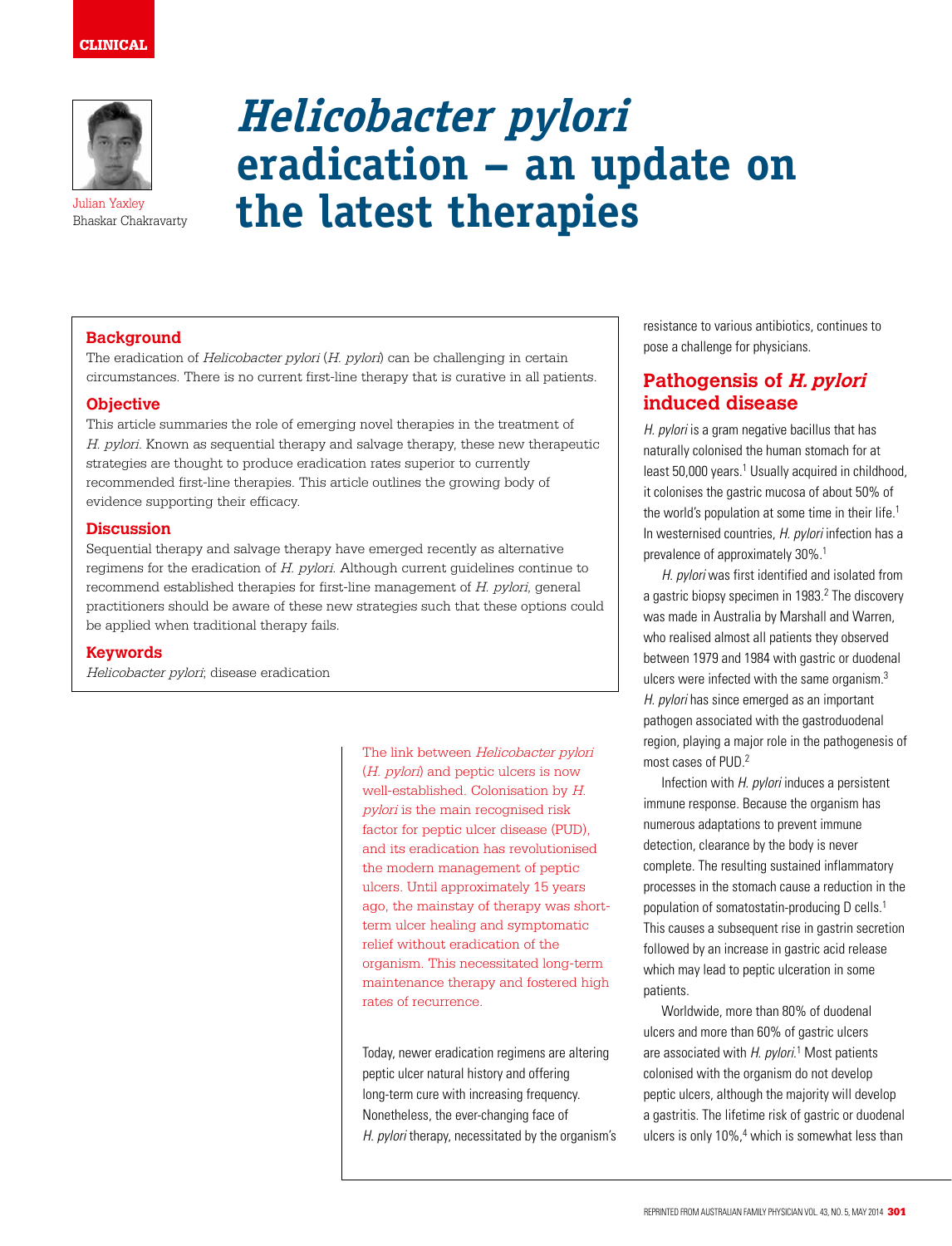# CLINICAL



Julian Yaxley Bhaskar Chakravarty

# **Helicobacter pylori eradication – an update on the latest therapies**

#### **Background**

The eradication of Helicobacter pylori (H. pylori) can be challenging in certain circumstances. There is no current first-line therapy that is curative in all patients.

#### **Objective**

This article summaries the role of emerging novel therapies in the treatment of H. pylori. Known as sequential therapy and salvage therapy, these new therapeutic strategies are thought to produce eradication rates superior to currently recommended first-line therapies. This article outlines the growing body of evidence supporting their efficacy.

#### **Discussion**

Sequential therapy and salvage therapy have emerged recently as alternative regimens for the eradication of H. pylori. Although current guidelines continue to recommend established therapies for first-line management of H. pylori, general practitioners should be aware of these new strategies such that these options could be applied when traditional therapy fails.

#### **Keywords**

Helicobacter pylori; disease eradication

The link between Helicobacter pylori (H. pylori) and peptic ulcers is now well-established. Colonisation by H. pylori is the main recognised risk factor for peptic ulcer disease (PUD), and its eradication has revolutionised the modern management of peptic ulcers. Until approximately 15 years ago, the mainstay of therapy was shortterm ulcer healing and symptomatic relief without eradication of the organism. This necessitated long-term maintenance therapy and fostered high rates of recurrence.

Today, newer eradication regimens are altering peptic ulcer natural history and offering long-term cure with increasing frequency. Nonetheless, the ever-changing face of H. pylori therapy, necessitated by the organism's resistance to various antibiotics, continues to pose a challenge for physicians.

## **Pathogensis of H. pylori induced disease**

H. *pylori* is a gram negative bacillus that has naturally colonised the human stomach for at least 50,000 years.<sup>1</sup> Usually acquired in childhood, it colonises the gastric mucosa of about 50% of the world's population at some time in their life.<sup>1</sup> In westernised countries, H. pylori infection has a prevalence of approximately 30%.<sup>1</sup>

H. pylori was first identified and isolated from a gastric biopsy specimen in 1983.<sup>2</sup> The discovery was made in Australia by Marshall and Warren, who realised almost all patients they observed between 1979 and 1984 with gastric or duodenal ulcers were infected with the same organism.3 H. *pylori* has since emerged as an important pathogen associated with the gastroduodenal region, playing a major role in the pathogenesis of most cases of PUD.2

Infection with H. pylori induces a persistent immune response. Because the organism has numerous adaptations to prevent immune detection, clearance by the body is never complete. The resulting sustained inflammatory processes in the stomach cause a reduction in the population of somatostatin-producing D cells.1 This causes a subsequent rise in gastrin secretion followed by an increase in gastric acid release which may lead to peptic ulceration in some patients.

Worldwide, more than 80% of duodenal ulcers and more than 60% of gastric ulcers are associated with H. pylori.<sup>1</sup> Most patients colonised with the organism do not develop peptic ulcers, although the majority will develop a gastritis. The lifetime risk of gastric or duodenal ulcers is only 10%,<sup>4</sup> which is somewhat less than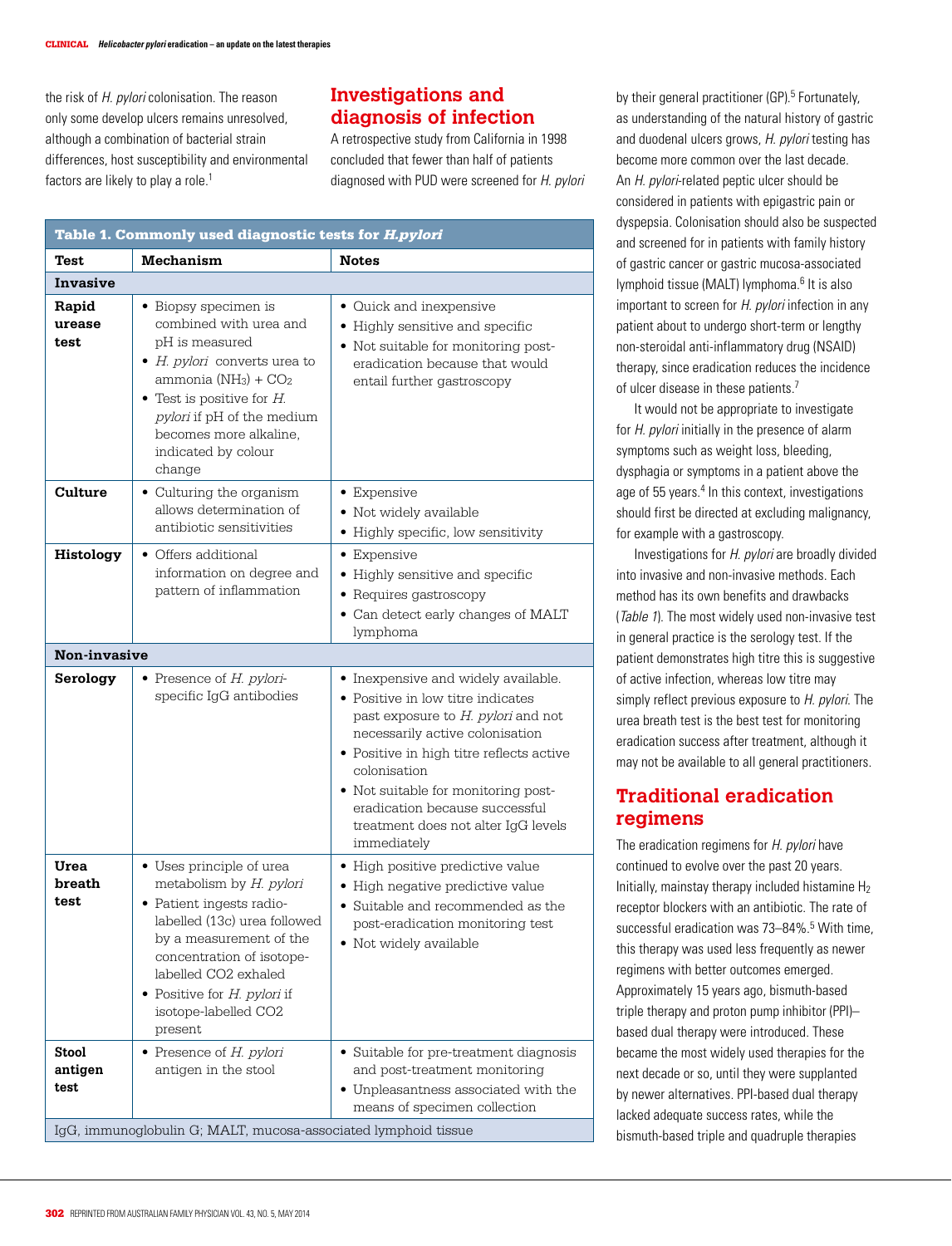the risk of H. *pylori* colonisation. The reason only some develop ulcers remains unresolved, although a combination of bacterial strain differences, host susceptibility and environmental factors are likely to play a role.<sup>1</sup>

# **Investigations and diagnosis of infection**

A retrospective study from California in 1998 concluded that fewer than half of patients diagnosed with PUD were screened for H. pylori

| Table 1. Commonly used diagnostic tests for <i>H.pylori</i> |                                                                                                                                                                                                                                                                      |                                                                                                                                                                                                                                                                                                                                              |  |  |
|-------------------------------------------------------------|----------------------------------------------------------------------------------------------------------------------------------------------------------------------------------------------------------------------------------------------------------------------|----------------------------------------------------------------------------------------------------------------------------------------------------------------------------------------------------------------------------------------------------------------------------------------------------------------------------------------------|--|--|
| <b>Test</b>                                                 | <b>Mechanism</b>                                                                                                                                                                                                                                                     | <b>Notes</b>                                                                                                                                                                                                                                                                                                                                 |  |  |
| Invasive                                                    |                                                                                                                                                                                                                                                                      |                                                                                                                                                                                                                                                                                                                                              |  |  |
| Rapid<br>urease<br>test                                     | • Biopsy specimen is<br>combined with urea and<br>pH is measured<br>$\bullet$ H. pylori converts urea to<br>ammonia $(NH_3) + CO_2$<br>$\bullet$ Test is positive for H.<br>pylori if pH of the medium<br>becomes more alkaline.<br>indicated by colour<br>change    | • Quick and inexpensive<br>• Highly sensitive and specific<br>• Not suitable for monitoring post-<br>eradication because that would<br>entail further gastroscopy                                                                                                                                                                            |  |  |
| Culture                                                     | • Culturing the organism<br>allows determination of<br>antibiotic sensitivities                                                                                                                                                                                      | • Expensive<br>· Not widely available<br>• Highly specific, low sensitivity                                                                                                                                                                                                                                                                  |  |  |
| Histology                                                   | • Offers additional<br>information on degree and<br>pattern of inflammation                                                                                                                                                                                          | • Expensive<br>• Highly sensitive and specific<br>• Requires gastroscopy<br>• Can detect early changes of MALT<br>lymphoma                                                                                                                                                                                                                   |  |  |
| Non-invasive                                                |                                                                                                                                                                                                                                                                      |                                                                                                                                                                                                                                                                                                                                              |  |  |
| Serology                                                    | $\bullet$ Presence of H. pylori-<br>specific IgG antibodies                                                                                                                                                                                                          | • Inexpensive and widely available.<br>• Positive in low titre indicates<br>past exposure to H. pylori and not<br>necessarily active colonisation<br>• Positive in high titre reflects active<br>colonisation<br>• Not suitable for monitoring post-<br>eradication because successful<br>treatment does not alter IgG levels<br>immediately |  |  |
| Urea<br>breath<br>test                                      | • Uses principle of urea<br>metabolism by H. pylori<br>• Patient ingests radio-<br>labelled (13c) urea followed<br>by a measurement of the<br>concentration of isotope-<br>labelled CO2 exhaled<br>• Positive for $H$ . pylori if<br>isotope-labelled CO2<br>present | • High positive predictive value<br>· High negative predictive value<br>• Suitable and recommended as the<br>post-eradication monitoring test<br>· Not widely available                                                                                                                                                                      |  |  |
| <b>Stool</b><br>antigen<br>test                             | • Presence of H. pylori<br>antigen in the stool<br>IgG, immunoglobulin G; MALT, mucosa-associated lymphoid tissue                                                                                                                                                    | • Suitable for pre-treatment diagnosis<br>and post-treatment monitoring<br>• Unpleasantness associated with the<br>means of specimen collection                                                                                                                                                                                              |  |  |

by their general practitioner (GP).<sup>5</sup> Fortunately, as understanding of the natural history of gastric and duodenal ulcers grows, H. pylori testing has become more common over the last decade. An *H. pylori-related peptic ulcer should be* considered in patients with epigastric pain or dyspepsia. Colonisation should also be suspected and screened for in patients with family history of gastric cancer or gastric mucosa-associated lymphoid tissue (MALT) lymphoma.<sup>6</sup> It is also important to screen for H. *pylori* infection in any patient about to undergo short-term or lengthy non-steroidal anti-inflammatory drug (NSAID) therapy, since eradication reduces the incidence of ulcer disease in these patients.<sup>7</sup>

It would not be appropriate to investigate for H. *pylori* initially in the presence of alarm symptoms such as weight loss, bleeding, dysphagia or symptoms in a patient above the age of 55 years.<sup>4</sup> In this context, investigations should first be directed at excluding malignancy, for example with a gastroscopy.

Investigations for H. pylori are broadly divided into invasive and non-invasive methods. Each method has its own benefits and drawbacks (Table 1). The most widely used non-invasive test in general practice is the serology test. If the patient demonstrates high titre this is suggestive of active infection, whereas low titre may simply reflect previous exposure to H. pylori. The urea breath test is the best test for monitoring eradication success after treatment, although it may not be available to all general practitioners.

# **Traditional eradication regimens**

The eradication regimens for H. pylori have continued to evolve over the past 20 years. Initially, mainstay therapy included histamine  $H_2$ receptor blockers with an antibiotic. The rate of successful eradication was 73-84%.<sup>5</sup> With time, this therapy was used less frequently as newer regimens with better outcomes emerged. Approximately 15 years ago, bismuth-based triple therapy and proton pump inhibitor (PPI)– based dual therapy were introduced. These became the most widely used therapies for the next decade or so, until they were supplanted by newer alternatives. PPI-based dual therapy lacked adequate success rates, while the bismuth-based triple and quadruple therapies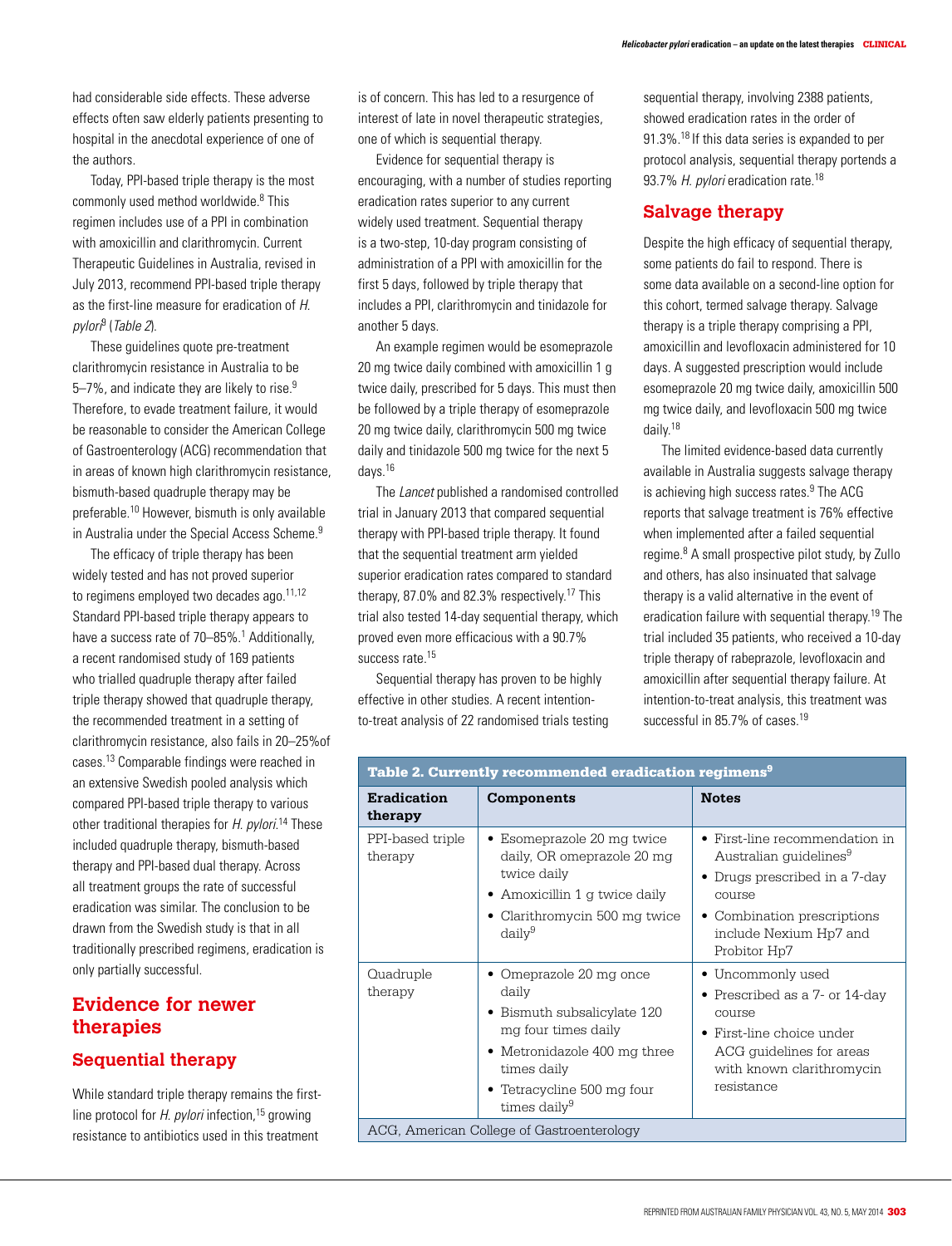had considerable side effects. These adverse effects often saw elderly patients presenting to hospital in the anecdotal experience of one of the authors.

Today, PPI-based triple therapy is the most commonly used method worldwide.<sup>8</sup> This regimen includes use of a PPI in combination with amoxicillin and clarithromycin. Current Therapeutic Guidelines in Australia, revised in July 2013, recommend PPI-based triple therapy as the first-line measure for eradication of H. pylori<sup>9</sup> (Table 2).

These guidelines quote pre-treatment clarithromycin resistance in Australia to be 5–7%, and indicate they are likely to rise. $9$ Therefore, to evade treatment failure, it would be reasonable to consider the American College of Gastroenterology (ACG) recommendation that in areas of known high clarithromycin resistance, bismuth-based quadruple therapy may be preferable.10 However, bismuth is only available in Australia under the Special Access Scheme.<sup>9</sup>

The efficacy of triple therapy has been widely tested and has not proved superior to regimens employed two decades ago. $11,12$ Standard PPI-based triple therapy appears to have a success rate of 70–85%.<sup>1</sup> Additionally, a recent randomised study of 169 patients who trialled quadruple therapy after failed triple therapy showed that quadruple therapy, the recommended treatment in a setting of clarithromycin resistance, also fails in 20–25%of cases.13 Comparable findings were reached in an extensive Swedish pooled analysis which compared PPI-based triple therapy to various other traditional therapies for H. pylori.<sup>14</sup> These included quadruple therapy, bismuth-based therapy and PPI-based dual therapy. Across all treatment groups the rate of successful eradication was similar. The conclusion to be drawn from the Swedish study is that in all traditionally prescribed regimens, eradication is only partially successful.

# **Evidence for newer therapies**

#### **Sequential therapy**

While standard triple therapy remains the firstline protocol for H. *pylori* infection,<sup>15</sup> growing resistance to antibiotics used in this treatment

is of concern. This has led to a resurgence of interest of late in novel therapeutic strategies, one of which is sequential therapy.

Evidence for sequential therapy is encouraging, with a number of studies reporting eradication rates superior to any current widely used treatment. Sequential therapy is a two-step, 10-day program consisting of administration of a PPI with amoxicillin for the first 5 days, followed by triple therapy that includes a PPI, clarithromycin and tinidazole for another 5 days.

An example regimen would be esomeprazole 20 mg twice daily combined with amoxicillin 1 g twice daily, prescribed for 5 days. This must then be followed by a triple therapy of esomeprazole 20 mg twice daily, clarithromycin 500 mg twice daily and tinidazole 500 mg twice for the next 5 days.16

The Lancet published a randomised controlled trial in January 2013 that compared sequential therapy with PPI-based triple therapy. It found that the sequential treatment arm yielded superior eradication rates compared to standard therapy, 87.0% and 82.3% respectively.17 This trial also tested 14-day sequential therapy, which proved even more efficacious with a 90.7% success rate.<sup>15</sup>

Sequential therapy has proven to be highly effective in other studies. A recent intentionto-treat analysis of 22 randomised trials testing sequential therapy, involving 2388 patients, showed eradication rates in the order of 91.3%.18 If this data series is expanded to per protocol analysis, sequential therapy portends a 93.7% H. pylori eradication rate.<sup>18</sup>

#### **Salvage therapy**

Despite the high efficacy of sequential therapy, some patients do fail to respond. There is some data available on a second-line option for this cohort, termed salvage therapy. Salvage therapy is a triple therapy comprising a PPI, amoxicillin and levofloxacin administered for 10 days. A suggested prescription would include esomeprazole 20 mg twice daily, amoxicillin 500 mg twice daily, and levofloxacin 500 mg twice daily.18

The limited evidence-based data currently available in Australia suggests salvage therapy is achieving high success rates.<sup>9</sup> The ACG reports that salvage treatment is 76% effective when implemented after a failed sequential regime.<sup>8</sup> A small prospective pilot study, by Zullo and others, has also insinuated that salvage therapy is a valid alternative in the event of eradication failure with sequential therapy.19 The trial included 35 patients, who received a 10-day triple therapy of rabeprazole, levofloxacin and amoxicillin after sequential therapy failure. At intention-to-treat analysis, this treatment was successful in 85.7% of cases.<sup>19</sup>

| Table 2. Currently recommended eradication regimens <sup>9</sup> |                                                                                                                                                                                                 |                                                                                                                                                                                          |  |  |
|------------------------------------------------------------------|-------------------------------------------------------------------------------------------------------------------------------------------------------------------------------------------------|------------------------------------------------------------------------------------------------------------------------------------------------------------------------------------------|--|--|
| <b>Eradication</b><br>therapy                                    | Components                                                                                                                                                                                      | <b>Notes</b>                                                                                                                                                                             |  |  |
| PPI-based triple<br>therapy                                      | • Esomeprazole 20 mg twice<br>daily, OR omeprazole 20 mg<br>twice daily<br>• Amoxicillin 1 g twice daily<br>• Clarithromycin 500 mg twice<br>daily <sup>9</sup>                                 | • First-line recommendation in<br>Australian quidelines <sup>9</sup><br>• Drugs prescribed in a 7-day<br>course<br>• Combination prescriptions<br>include Nexium Hp7 and<br>Probitor Hp7 |  |  |
| Quadruple<br>therapy                                             | • Omeprazole 20 mg once<br>daily<br>• Bismuth subsalicylate 120<br>mg four times daily<br>• Metronidazole 400 mg three<br>times daily<br>• Tetracycline 500 mg four<br>times daily <sup>9</sup> | • Uncommonly used<br>• Prescribed as a 7- or 14-day<br>COUTSe<br>$\bullet$ First-line choice under<br>ACG guidelines for areas<br>with known clarithromycin<br>resistance                |  |  |
| ACG, American College of Gastroenterology                        |                                                                                                                                                                                                 |                                                                                                                                                                                          |  |  |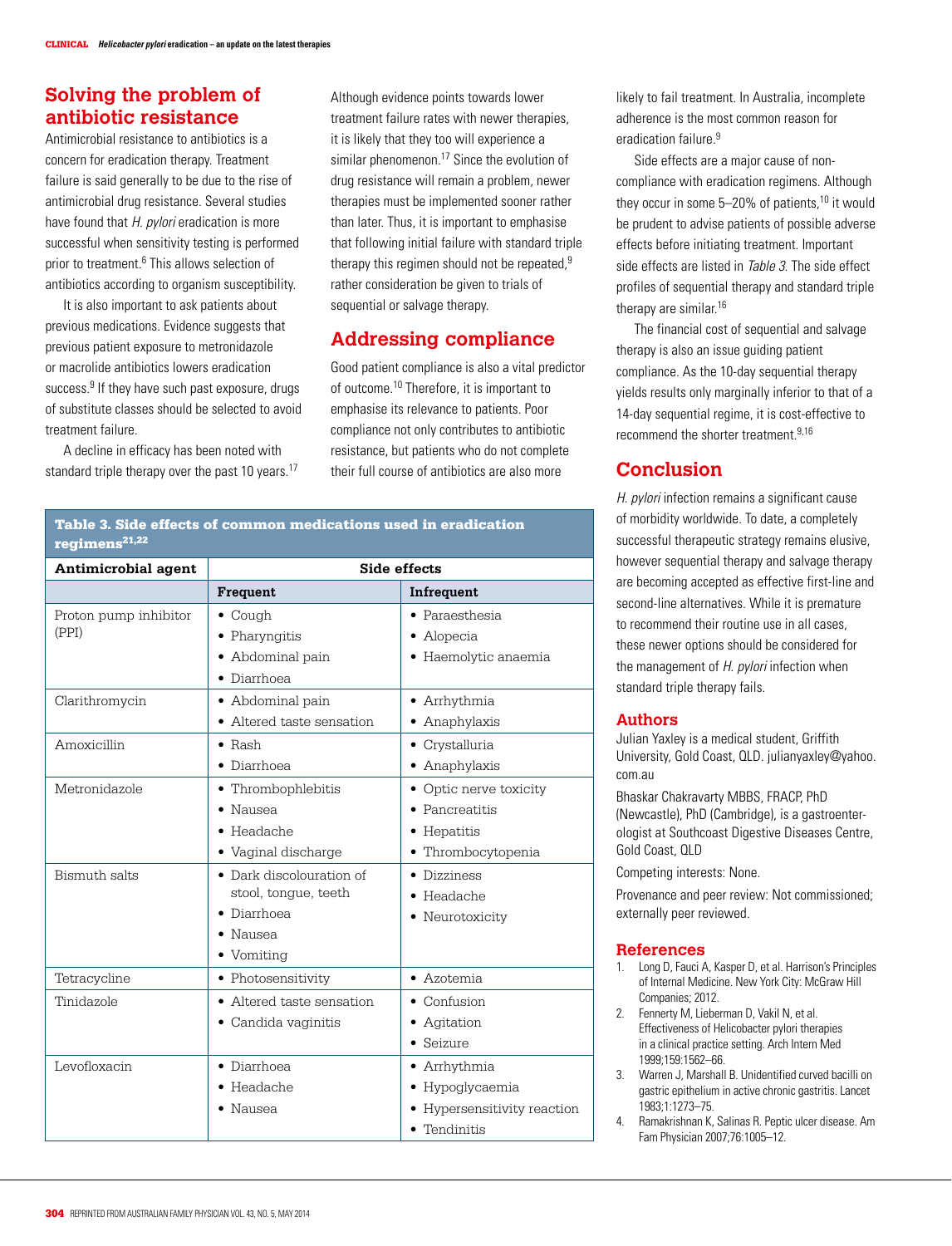### **Solving the problem of antibiotic resistance**

Antimicrobial resistance to antibiotics is a concern for eradication therapy. Treatment failure is said generally to be due to the rise of antimicrobial drug resistance. Several studies have found that *H. pylori* eradication is more successful when sensitivity testing is performed prior to treatment.<sup>6</sup> This allows selection of antibiotics according to organism susceptibility.

It is also important to ask patients about previous medications. Evidence suggests that previous patient exposure to metronidazole or macrolide antibiotics lowers eradication success.<sup>9</sup> If they have such past exposure, drugs of substitute classes should be selected to avoid treatment failure.

A decline in efficacy has been noted with standard triple therapy over the past 10 years.<sup>17</sup> Although evidence points towards lower treatment failure rates with newer therapies, it is likely that they too will experience a similar phenomenon.<sup>17</sup> Since the evolution of drug resistance will remain a problem, newer therapies must be implemented sooner rather than later. Thus, it is important to emphasise that following initial failure with standard triple therapy this regimen should not be repeated,<sup>9</sup> rather consideration be given to trials of sequential or salvage therapy.

# **Addressing compliance**

Good patient compliance is also a vital predictor of outcome.<sup>10</sup> Therefore, it is important to emphasise its relevance to patients. Poor compliance not only contributes to antibiotic resistance, but patients who do not complete their full course of antibiotics are also more

Table 3. Side effects of common medications used in eradication regimens<sup>21,22</sup>

| <b>Antimicrobial agent</b> | Side effects              |                             |
|----------------------------|---------------------------|-----------------------------|
|                            | Frequent                  | Infrequent                  |
| Proton pump inhibitor      | $\bullet$ Cough           | • Paraesthesia              |
| (PPI)                      | • Pharyngitis             | • Alopecia                  |
|                            | • Abdominal pain          | • Haemolytic anaemia        |
|                            | • Diarrhoea               |                             |
| Clarithromycin             | • Abdominal pain          | • Arrhythmia                |
|                            | • Altered taste sensation | • Anaphylaxis               |
| Amoxicillin                | $\bullet$ Rash            | • Crystalluria              |
|                            | • Diarrhoea               | • Anaphylaxis               |
| Metronidazole              | • Thrombophlebitis        | • Optic nerve toxicity      |
|                            | $\bullet$ Nausea          | • Pancreatitis              |
|                            | $\bullet$ Headache        | • Hepatitis                 |
|                            | • Vaginal discharge       | • Thrombocytopenia          |
| Bismuth salts              | • Dark discolouration of  | • Dizziness                 |
|                            | stool, tongue, teeth      | $\bullet$ Headache          |
|                            | • Diarrhoea               | • Neurotoxicity             |
|                            | $\bullet$ Nausea          |                             |
|                            | • Vomiting                |                             |
| Tetracycline               | • Photosensitivity        | • Azotemia                  |
| Tinidazole                 | • Altered taste sensation | $\bullet$ Confusion         |
|                            | • Candida vaginitis       | • Agitation                 |
|                            |                           | • Seizure                   |
| Levofloxacin               | • Diarrhoea               | • Arrhythmia                |
|                            | $\bullet$ Headache        | • Hypoglycaemia             |
|                            | $\bullet$ Nausea          | • Hypersensitivity reaction |
|                            |                           | • Tendinitis                |

likely to fail treatment. In Australia, incomplete adherence is the most common reason for eradication failure.<sup>9</sup>

Side effects are a major cause of noncompliance with eradication regimens. Although they occur in some  $5-20\%$  of patients,<sup>10</sup> it would be prudent to advise patients of possible adverse effects before initiating treatment. Important side effects are listed in *Table 3*. The side effect profiles of sequential therapy and standard triple therapy are similar.<sup>16</sup>

The financial cost of sequential and salvage therapy is also an issue guiding patient compliance. As the 10-day sequential therapy yields results only marginally inferior to that of a 14-day sequential regime, it is cost-effective to recommend the shorter treatment.9,16

# **Conclusion**

H. pylori infection remains a significant cause of morbidity worldwide. To date, a completely successful therapeutic strategy remains elusive, however sequential therapy and salvage therapy are becoming accepted as effective first-line and second-line alternatives. While it is premature to recommend their routine use in all cases, these newer options should be considered for the management of H. pylori infection when standard triple therapy fails.

#### **Authors**

Julian Yaxley is a medical student, Griffith University, Gold Coast, QLD. julianyaxley@yahoo. com.au

Bhaskar Chakravarty MBBS, FRACP, PhD (Newcastle), PhD (Cambridge), is a gastroenterologist at Southcoast Digestive Diseases Centre, Gold Coast, QLD

Competing interests: None.

Provenance and peer review: Not commissioned; externally peer reviewed.

#### **References**

- 1. Long D, Fauci A, Kasper D, et al. Harrison's Principles of Internal Medicine. New York City: McGraw Hill Companies; 2012.
- 2. Fennerty M, Lieberman D, Vakil N, et al. Effectiveness of Helicobacter pylori therapies in a clinical practice setting. Arch Intern Med 1999;159:1562–66.
- 3. Warren J, Marshall B. Unidentified curved bacilli on gastric epithelium in active chronic gastritis. Lancet 1983;1:1273–75.
- 4. Ramakrishnan K, Salinas R. Peptic ulcer disease. Am Fam Physician 2007;76:1005–12.